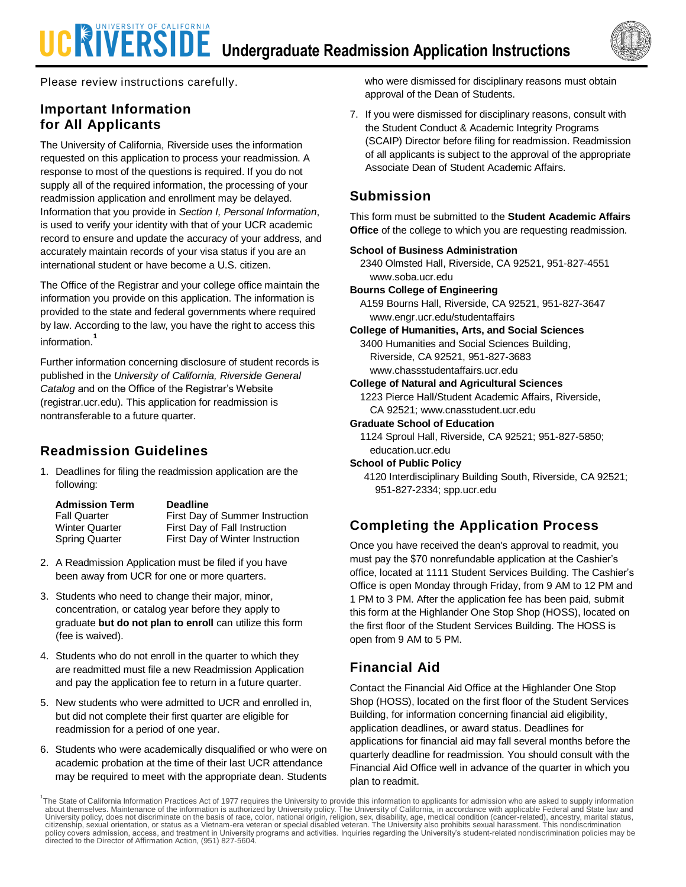# **UCRIVERSIDE** Undergraduate Readmission Application Instructions



Please review instructions carefully.

### **Important Information for All Applicants**

The University of California, Riverside uses the information requested on this application to process your readmission. A response to most of the questions is required. If you do not supply all of the required information, the processing of your readmission application and enrollment may be delayed. Information that you provide in *Section I, Personal Information*, is used to verify your identity with that of your UCR academic record to ensure and update the accuracy of your address, and accurately maintain records of your visa status if you are an international student or have become a U.S. citizen.

The Office of the Registrar and your college office maintain the information you provide on this application. The information is provided to the state and federal governments where required by law. According to the law, you have the right to access this information.**<sup>1</sup>**

Further information concerning disclosure of student records is published in the *University of California, Riverside General Catalog* and on the Office of the Registrar's Website (registrar.ucr.edu). This application for readmission is nontransferable to a future quarter.

## **Readmission Guidelines**

1. Deadlines for filing the readmission application are the following:

| <b>Admission Term</b> | <b>Deadline</b>                 |
|-----------------------|---------------------------------|
| <b>Fall Quarter</b>   | First Day of Summer Instruction |
| <b>Winter Quarter</b> | First Day of Fall Instruction   |
| <b>Spring Quarter</b> | First Day of Winter Instruction |

- 2. A Readmission Application must be filed if you have been away from UCR for one or more quarters.
- 3. Students who need to change their major, minor, concentration, or catalog year before they apply to graduate **but do not plan to enroll** can utilize this form (fee is waived).
- 4. Students who do not enroll in the quarter to which they are readmitted must file a new Readmission Application and pay the application fee to return in a future quarter.
- 5. New students who were admitted to UCR and enrolled in, but did not complete their first quarter are eligible for readmission for a period of one year.
- 6. Students who were academically disqualified or who were on academic probation at the time of their last UCR attendance may be required to meet with the appropriate dean. Students

who were dismissed for disciplinary reasons must obtain approval of the Dean of Students.

7. If you were dismissed for disciplinary reasons, consult with the Student Conduct & Academic Integrity Programs (SCAIP) Director before filing for readmission. Readmission of all applicants is subject to the approval of the appropriate Associate Dean of Student Academic Affairs.

## **Submission**

This form must be submitted to the **Student Academic Affairs Office** of the college to which you are requesting readmission.

### **School of Business Administration**

2340 Olmsted Hall, Riverside, CA 92521, 951-827-4551 www.soba.ucr.edu

**Bourns College of Engineering**

A159 Bourns Hall, Riverside, CA 92521, 951-827-3647 www.engr.ucr.edu/studentaffairs

**College of Humanities, Arts, and Social Sciences**

3400 Humanities and Social Sciences Building, Riverside, CA 92521, 951-827-3683 www.chassstudentaffairs.ucr.edu

**College of Natural and Agricultural Sciences**

1223 Pierce Hall/Student Academic Affairs, Riverside, CA 92521; www.cnasstudent.ucr.edu

**Graduate School of Education**

1124 Sproul Hall, Riverside, CA 92521; 951-827-5850; education.ucr.edu

**School of Public Policy**

 4120 Interdisciplinary Building South, Riverside, CA 92521; 951-827-2334; spp.ucr.edu

## **Completing the Application Process**

Once you have received the dean's approval to readmit, you must pay the \$70 nonrefundable application at the Cashier's office, located at 1111 Student Services Building. The Cashier's Office is open Monday through Friday, from 9 AM to 12 PM and 1 PM to 3 PM. After the application fee has been paid, submit this form at the Highlander One Stop Shop (HOSS), located on the first floor of the Student Services Building. The HOSS is open from 9 AM to 5 PM.

## **Financial Aid**

Contact the Financial Aid Office at the Highlander One Stop Shop (HOSS), located on the first floor of the Student Services Building, for information concerning financial aid eligibility, application deadlines, or award status. Deadlines for applications for financial aid may fall several months before the quarterly deadline for readmission. You should consult with the Financial Aid Office well in advance of the quarter in which you plan to readmit.

<sup>1</sup>The State of California Information Practices Act of 1977 requires the University to provide this information to applicants for admission who are asked to supply information about themselves. Maintenance of the information is authorized by University policy. The University of California, in accordance with applicable Federal and State law and University policy, does not discriminate on the basis of race, color, national origin, religion, sex, disability, age, medical condition (cancer-related), ancestry, marital status,<br>citizenship, sexual orientation, or statu policy covers admission, access, and treatment in University programs and activities. Inquiries regarding the University's student-related nondiscrimination policies may be<br>directed to the Director of Affirmation Action, (